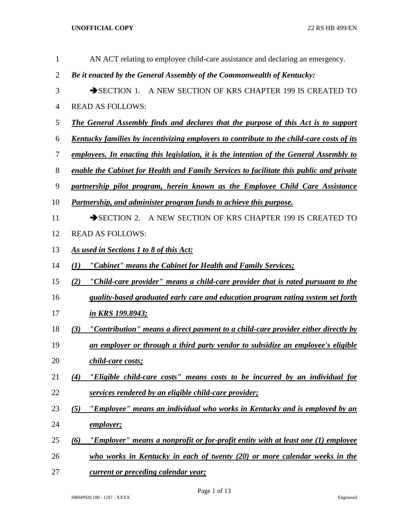| 1              | AN ACT relating to employee child-care assistance and declaring an emergency.                    |  |  |
|----------------|--------------------------------------------------------------------------------------------------|--|--|
| $\overline{2}$ | Be it enacted by the General Assembly of the Commonwealth of Kentucky:                           |  |  |
| 3              | SECTION 1. A NEW SECTION OF KRS CHAPTER 199 IS CREATED TO                                        |  |  |
| $\overline{4}$ | <b>READ AS FOLLOWS:</b>                                                                          |  |  |
| 5              | <b>The General Assembly finds and declares that the purpose of this Act is to support</b>        |  |  |
| 6              | <u>Kentucky families by incentivizing employers to contribute to the child-care costs of its</u> |  |  |
| 7              | employees. In enacting this legislation, it is the intention of the General Assembly to          |  |  |
| $8\,$          | enable the Cabinet for Health and Family Services to facilitate this public and private          |  |  |
| $\mathbf{9}$   | partnership pilot program, herein known as the Employee Child Care Assistance                    |  |  |
| 10             | Partnership, and administer program funds to achieve this purpose.                               |  |  |
| 11             | SECTION 2. A NEW SECTION OF KRS CHAPTER 199 IS CREATED TO                                        |  |  |
| 12             | <b>READ AS FOLLOWS:</b>                                                                          |  |  |
| 13             | As used in Sections 1 to 8 of this Act:                                                          |  |  |
| 14             | "Cabinet" means the Cabinet for Health and Family Services;<br>(1)                               |  |  |
| 15             | "Child-care provider" means a child-care provider that is rated pursuant to the<br>(2)           |  |  |
| 16             | quality-based graduated early care and education program rating system set forth                 |  |  |
| 17             | in KRS 199.8943;                                                                                 |  |  |
| 18             | "Contribution" means a direct payment to a child-care provider either directly by<br>(3)         |  |  |
| 19             | an employer or through a third party vendor to subsidize an employee's eligible                  |  |  |
| 20             | child-care costs;                                                                                |  |  |
| 21             | "Eligible child-care costs" means costs to be incurred by an individual for<br>$\left( 4\right)$ |  |  |
| 22             | services rendered by an eligible child-care provider;                                            |  |  |
| 23             | "Employee" means an individual who works in Kentucky and is employed by an<br>(5)                |  |  |
| 24             | employer;                                                                                        |  |  |
| 25             | "Employer" means a nonprofit or for-profit entity with at least one (1) employee<br>(6)          |  |  |
| 26             | who works in Kentucky in each of twenty $(20)$ or more calendar weeks in the                     |  |  |
| 27             | current or preceding calendar year;                                                              |  |  |

HB049920.100 - 1297 - XXXX Engrossed

Page 1 of 13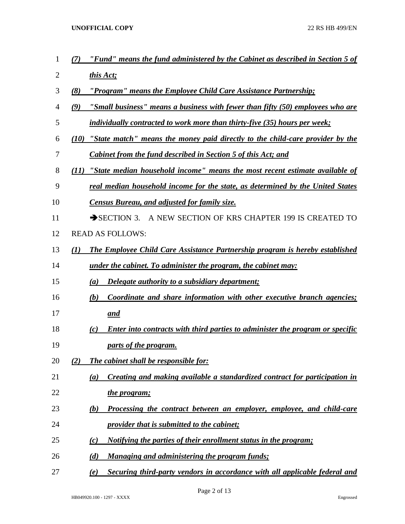- *(7) "Fund" means the fund administered by the Cabinet as described in Section 5 of this Act;*
- *(8) "Program" means the Employee Child Care Assistance Partnership;*
- *(9) "Small business" means a business with fewer than fifty (50) employees who are*
- *individually contracted to work more than thirty-five (35) hours per week;*
- *(10) "State match" means the money paid directly to the child-care provider by the Cabinet from the fund described in Section 5 of this Act; and*
- *(11) "State median household income" means the most recent estimate available of*
- *real median household income for the state, as determined by the United States*
- *Census Bureau, and adjusted for family size.*
- 11 SECTION 3. A NEW SECTION OF KRS CHAPTER 199 IS CREATED TO
- READ AS FOLLOWS:
- *(1) The Employee Child Care Assistance Partnership program is hereby established*
- *under the cabinet. To administer the program, the cabinet may:*
- *(a) Delegate authority to a subsidiary department;*
- *(b) Coordinate and share information with other executive branch agencies; and*
- *(c) Enter into contracts with third parties to administer the program or specific parts of the program.*
- *(2) The cabinet shall be responsible for:*
- *(a) Creating and making available a standardized contract for participation in*
- *the program;*
- *(b) Processing the contract between an employer, employee, and child-care provider that is submitted to the cabinet;*
- *(c) Notifying the parties of their enrollment status in the program;*
- *(d) Managing and administering the program funds;*
- *(e) Securing third-party vendors in accordance with all applicable federal and*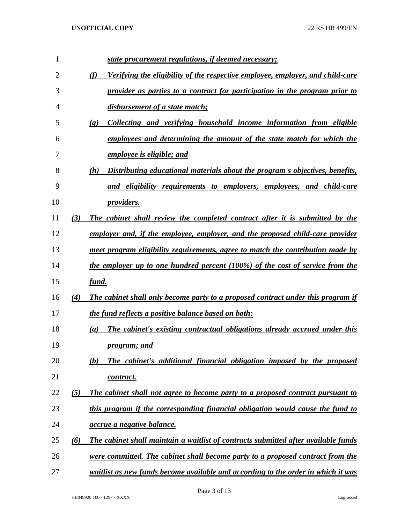| 1  |          | state procurement regulations, if deemed necessary;                                                |
|----|----------|----------------------------------------------------------------------------------------------------|
| 2  |          | (f)<br>Verifying the eligibility of the respective employee, employer, and child-care              |
| 3  |          | provider as parties to a contract for participation in the program prior to                        |
| 4  |          | disbursement of a state match;                                                                     |
| 5  |          | Collecting and verifying household income information from eligible<br>$\left( \mathbf{g} \right)$ |
| 6  |          | employees and determining the amount of the state match for which the                              |
| 7  |          | employee is eligible; and                                                                          |
| 8  |          | Distributing educational materials about the program's objectives, benefits,<br>(h)                |
| 9  |          | and eligibility requirements to employers, employees, and child-care                               |
| 10 |          | <i>providers.</i>                                                                                  |
| 11 | (3)      | The cabinet shall review the completed contract after it is submitted by the                       |
| 12 |          | employer and, if the employee, employer, and the proposed child-care provider                      |
| 13 |          | meet program eligibility requirements, agree to match the contribution made by                     |
| 14 |          | the employer up to one hundred percent (100%) of the cost of service from the                      |
| 15 |          | fund.                                                                                              |
| 16 | (4)      | The cabinet shall only become party to a proposed contract under this program if                   |
| 17 |          | the fund reflects a positive balance based on both:                                                |
| 18 |          | The cabinet's existing contractual obligations already accrued under this<br>(a)                   |
| 19 |          | <i>program; and</i>                                                                                |
| 20 |          | The cabinet's additional financial obligation imposed by the proposed<br>(b)                       |
| 21 |          | contract.                                                                                          |
| 22 | (5)      | The cabinet shall not agree to become party to a proposed contract pursuant to                     |
| 23 |          | this program if the corresponding financial obligation would cause the fund to                     |
| 24 |          | accrue a negative balance.                                                                         |
| 25 | $\omega$ | The cabinet shall maintain a waitlist of contracts submitted after available funds                 |
| 26 |          | were committed. The cabinet shall become party to a proposed contract from the                     |
| 27 |          | waitlist as new funds become available and according to the order in which it was                  |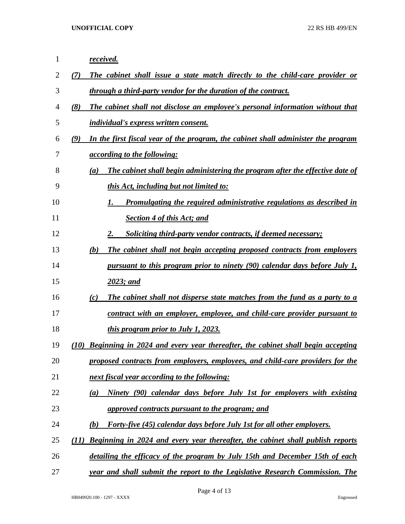| 1  | received.                                                                                |
|----|------------------------------------------------------------------------------------------|
| 2  | The cabinet shall issue a state match directly to the child-care provider or<br>(7)      |
| 3  | through a third-party vendor for the duration of the contract.                           |
| 4  | (8)<br>The cabinet shall not disclose an employee's personal information without that    |
| 5  | <i>individual's express written consent.</i>                                             |
| 6  | (9)<br>In the first fiscal year of the program, the cabinet shall administer the program |
| 7  | <i><u>according to the following:</u></i>                                                |
| 8  | The cabinet shall begin administering the program after the effective date of<br>(a)     |
| 9  | this Act, including but not limited to:                                                  |
| 10 | <u>Promulgating the required administrative regulations as described in</u><br>1.        |
| 11 | <b>Section 4 of this Act; and</b>                                                        |
| 12 | 2.<br>Soliciting third-party vendor contracts, if deemed necessary;                      |
| 13 | The cabinet shall not begin accepting proposed contracts from employers<br>(b)           |
| 14 | <u>pursuant to this program prior to ninety (90) calendar days before July 1,</u>        |
| 15 | 2023; and                                                                                |
| 16 | The cabinet shall not disperse state matches from the fund as a party to a<br>(c)        |
| 17 | contract with an employer, employee, and child-care provider pursuant to                 |
| 18 | <i>this program prior to July 1, 2023.</i>                                               |
| 19 | Beginning in 2024 and every year thereafter, the cabinet shall begin accepting<br>(10)   |
| 20 | proposed contracts from employers, employees, and child-care providers for the           |
| 21 | next fiscal year according to the following:                                             |
| 22 | Ninety (90) calendar days before July 1st for employers with existing<br>(a)             |
| 23 | approved contracts pursuant to the program; and                                          |
| 24 | <b>Forty-five (45) calendar days before July 1st for all other employers.</b><br>(b)     |
| 25 | Beginning in 2024 and every year thereafter, the cabinet shall publish reports<br>(11)   |
| 26 | detailing the efficacy of the program by July 15th and December 15th of each             |
| 27 | year and shall submit the report to the Legislative Research Commission. The             |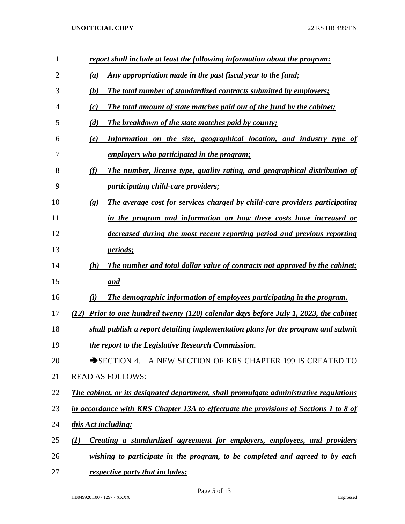| $\mathbf{1}$   | report shall include at least the following information about the program:                                 |
|----------------|------------------------------------------------------------------------------------------------------------|
| $\overline{2}$ | Any appropriation made in the past fiscal year to the fund;<br>(a)                                         |
| 3              | (b)<br>The total number of standardized contracts submitted by employers;                                  |
| 4              | The total amount of state matches paid out of the fund by the cabinet;<br>(c)                              |
| 5              | (d)<br><b>The breakdown of the state matches paid by county;</b>                                           |
| 6              | (e)<br>Information on the size, geographical location, and industry type of                                |
| 7              | <u>employers who participated in the program;</u>                                                          |
| 8              | (f)<br>The number, license type, quality rating, and geographical distribution of                          |
| 9              | <i><u><b>participating child-care providers;</b></u></i>                                                   |
| 10             | The average cost for services charged by child-care providers participating<br>$\left( \mathbf{g} \right)$ |
| 11             | in the program and information on how these costs have increased or                                        |
| 12             | decreased during the most recent reporting period and previous reporting                                   |
| 13             | <i>periods</i> ;                                                                                           |
| 14             | The number and total dollar value of contracts not approved by the cabinet;<br>(h)                         |
| 15             | and                                                                                                        |
| 16             | The demographic information of employees participating in the program.<br>(i)                              |
| 17             | Prior to one hundred twenty $(120)$ calendar days before July 1, 2023, the cabinet<br>(12)                 |
| 18             | shall publish a report detailing implementation plans for the program and submit                           |
| 19             | the report to the Legislative Research Commission.                                                         |
| 20             | SECTION 4. A NEW SECTION OF KRS CHAPTER 199 IS CREATED TO                                                  |
| 21             | <b>READ AS FOLLOWS:</b>                                                                                    |
| 22             | The cabinet, or its designated department, shall promulgate administrative regulations                     |
| 23             | in accordance with KRS Chapter 13A to effectuate the provisions of Sections 1 to 8 of                      |
| 24             | this Act including:                                                                                        |
| 25             | Creating a standardized agreement for employers, employees, and providers<br>$\mathcal{L}(I)$              |
| 26             | wishing to participate in the program, to be completed and agreed to by each                               |
|                |                                                                                                            |

*respective party that includes:*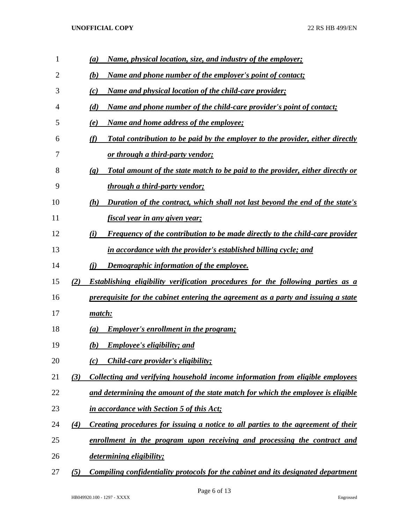| 1  |     | <u>Name, physical location, size, and industry of the employer;</u><br>$\left(a\right)$                       |
|----|-----|---------------------------------------------------------------------------------------------------------------|
| 2  |     | (b)<br><u>Name and phone number of the employer's point of contact;</u>                                       |
| 3  |     | <u>Name and physical location of the child-care provider;</u><br>(c)                                          |
| 4  |     | <u>Name and phone number of the child-care provider's point of contact;</u><br>(d)                            |
| 5  |     | <u>Name and home address of the employee;</u><br>(e)                                                          |
| 6  |     | (f)<br>Total contribution to be paid by the employer to the provider, either directly                         |
| 7  |     | <u>or through a third-party vendor;</u>                                                                       |
| 8  |     | Total amount of the state match to be paid to the provider, either directly or<br>$\left( \mathbf{g} \right)$ |
| 9  |     | <u>through a third-party vendor;</u>                                                                          |
| 10 |     | Duration of the contract, which shall not last beyond the end of the state's<br>(h)                           |
| 11 |     | <u>fiscal year in any given year;</u>                                                                         |
| 12 |     | <b>Frequency of the contribution to be made directly to the child-care provider</b><br>(i)                    |
| 13 |     | in accordance with the provider's established billing cycle; and                                              |
| 14 |     | Demographic information of the employee.<br>(i)                                                               |
| 15 | (2) | <b>Establishing eligibility verification procedures for the following parties as a</b>                        |
| 16 |     | prerequisite for the cabinet entering the agreement as a party and issuing a state                            |
| 17 |     | match:                                                                                                        |
| 18 |     | <b>Employer's enrollment in the program;</b><br>$\left(a\right)$                                              |
| 19 |     | <b>Employee's eligibility; and</b><br>(b)                                                                     |
| 20 |     | <i>Child-care provider's eligibility;</i><br>(c)                                                              |
| 21 | (3) | Collecting and verifying household income information from eligible employees                                 |
| 22 |     | and determining the amount of the state match for which the employee is eligible                              |
| 23 |     | in accordance with Section 5 of this Act;                                                                     |
| 24 | (4) | Creating procedures for issuing a notice to all parties to the agreement of their                             |
| 25 |     | enrollment in the program upon receiving and processing the contract and                                      |
| 26 |     | determining eligibility;                                                                                      |
| 27 | (5) | <u>Compiling confidentiality protocols for the cabinet and its designated department</u>                      |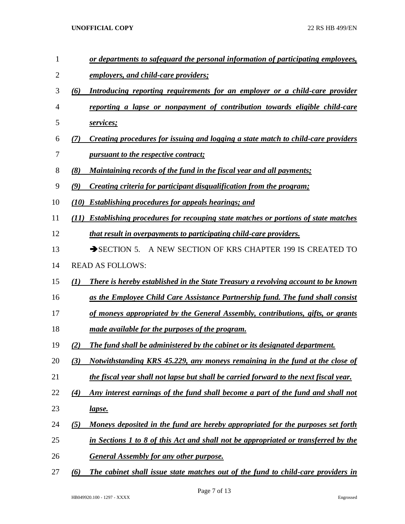- *or departments to safeguard the personal information of participating employees,*
- *employers, and child-care providers;*
- *(6) Introducing reporting requirements for an employer or a child-care provider*
- *reporting a lapse or nonpayment of contribution towards eligible child-care services;*
- *(7) Creating procedures for issuing and logging a state match to child-care providers pursuant to the respective contract;*
- *(8) Maintaining records of the fund in the fiscal year and all payments;*
- *(9) Creating criteria for participant disqualification from the program;*
- *(10) Establishing procedures for appeals hearings; and*
- *(11) Establishing procedures for recouping state matches or portions of state matches*
- *that result in overpayments to participating child-care providers.*
- 13 SECTION 5. A NEW SECTION OF KRS CHAPTER 199 IS CREATED TO
- READ AS FOLLOWS:
- *(1) There is hereby established in the State Treasury a revolving account to be known*
- *as the Employee Child Care Assistance Partnership fund. The fund shall consist*
- *of moneys appropriated by the General Assembly, contributions, gifts, or grants*
- *made available for the purposes of the program.*
- *(2) The fund shall be administered by the cabinet or its designated department.*
- *(3) Notwithstanding KRS 45.229, any moneys remaining in the fund at the close of the fiscal year shall not lapse but shall be carried forward to the next fiscal year.*
- *(4) Any interest earnings of the fund shall become a part of the fund and shall not lapse.*
- *(5) Moneys deposited in the fund are hereby appropriated for the purposes set forth*
- *in Sections 1 to 8 of this Act and shall not be appropriated or transferred by the*
- *General Assembly for any other purpose.*
- *(6) The cabinet shall issue state matches out of the fund to child-care providers in*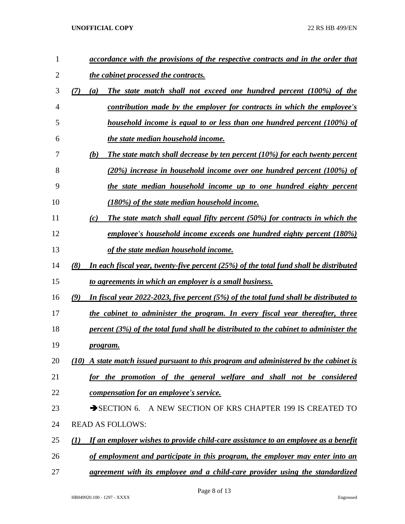| 1              | accordance with the provisions of the respective contracts and in the order that                |
|----------------|-------------------------------------------------------------------------------------------------|
| $\overline{2}$ | <i>the cabinet processed the contracts.</i>                                                     |
| 3              | (7)<br>The state match shall not exceed one hundred percent (100%) of the<br>(a)                |
| 4              | contribution made by the employer for contracts in which the employee's                         |
| 5              | household income is equal to or less than one hundred percent (100%) of                         |
| 6              | the state median household income.                                                              |
| 7              | The state match shall decrease by ten percent (10%) for each twenty percent<br>(b)              |
| 8              | (20%) increase in household income over one hundred percent (100%) of                           |
| 9              | the state median household income up to one hundred eighty percent                              |
| 10             | (180%) of the state median household income.                                                    |
| 11             | The state match shall equal fifty percent (50%) for contracts in which the<br>(c)               |
| 12             | employee's household income exceeds one hundred eighty percent (180%)                           |
| 13             | of the state median household income.                                                           |
| 14             | (8)<br>In each fiscal year, twenty-five percent $(25%)$ of the total fund shall be distributed  |
| 15             | to agreements in which an employer is a small business.                                         |
| 16             | In fiscal year $2022-2023$ , five percent (5%) of the total fund shall be distributed to<br>(9) |
| 17             | the cabinet to administer the program. In every fiscal year thereafter, three                   |
| 18             | percent $(3\%)$ of the total fund shall be distributed to the cabinet to administer the         |
| 19             | <u>program.</u>                                                                                 |
| 20             | $(10)$ A state match issued pursuant to this program and administered by the cabinet is         |
| 21             | for the promotion of the general welfare and shall not be considered                            |
| 22             | compensation for an employee's service.                                                         |
| 23             | SECTION 6. A NEW SECTION OF KRS CHAPTER 199 IS CREATED TO                                       |
| 24             | <b>READ AS FOLLOWS:</b>                                                                         |
| 25             | If an employer wishes to provide child-care assistance to an employee as a benefit<br>(1)       |
| 26             | of employment and participate in this program, the employer may enter into an                   |
| 27             | agreement with its employee and a child-care provider using the standardized                    |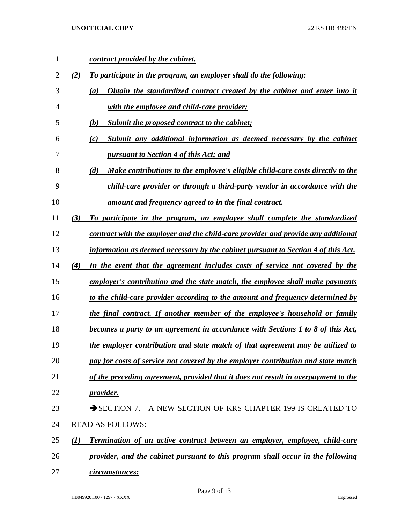| 1  |     | contract provided by the cabinet.                                                     |
|----|-----|---------------------------------------------------------------------------------------|
| 2  | (2) | To participate in the program, an employer shall do the following:                    |
| 3  |     | Obtain the standardized contract created by the cabinet and enter into it<br>(a)      |
| 4  |     | with the employee and child-care provider;                                            |
| 5  |     | Submit the proposed contract to the cabinet;<br>(b)                                   |
| 6  |     | Submit any additional information as deemed necessary by the cabinet<br>(c)           |
| 7  |     | pursuant to Section 4 of this Act; and                                                |
| 8  |     | Make contributions to the employee's eligible child-care costs directly to the<br>(d) |
| 9  |     | child-care provider or through a third-party vendor in accordance with the            |
| 10 |     | <u>amount and frequency agreed to in the final contract.</u>                          |
| 11 | (3) | To participate in the program, an employee shall complete the standardized            |
| 12 |     | contract with the employer and the child-care provider and provide any additional     |
| 13 |     | information as deemed necessary by the cabinet pursuant to Section 4 of this Act.     |
| 14 | (4) | In the event that the agreement includes costs of service not covered by the          |
| 15 |     | employer's contribution and the state match, the employee shall make payments         |
| 16 |     | to the child-care provider according to the amount and frequency determined by        |
| 17 |     | the final contract. If another member of the employee's household or family           |
| 18 |     | becomes a party to an agreement in accordance with Sections 1 to 8 of this Act,       |
| 19 |     | the employer contribution and state match of that agreement may be utilized to        |
| 20 |     | pay for costs of service not covered by the employer contribution and state match     |
| 21 |     | of the preceding agreement, provided that it does not result in overpayment to the    |
| 22 |     | <i>provider.</i>                                                                      |
| 23 |     | A NEW SECTION OF KRS CHAPTER 199 IS CREATED TO<br>$\rightarrow$ SECTION 7.            |
| 24 |     | <b>READ AS FOLLOWS:</b>                                                               |
| 25 | (1) | Termination of an active contract between an employer, employee, child-care           |
| 26 |     | provider, and the cabinet pursuant to this program shall occur in the following       |
| 27 |     | circumstances:                                                                        |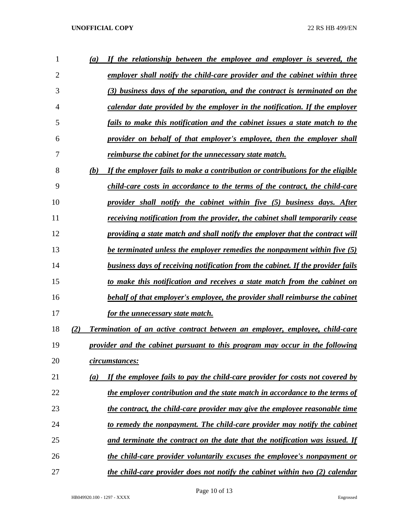| 1              | (a) | If the relationship between the employee and employer is severed, the              |
|----------------|-----|------------------------------------------------------------------------------------|
| $\overline{2}$ |     | employer shall notify the child-care provider and the cabinet within three         |
| 3              |     | (3) business days of the separation, and the contract is terminated on the         |
| 4              |     | calendar date provided by the employer in the notification. If the employer        |
| 5              |     | fails to make this notification and the cabinet issues a state match to the        |
| 6              |     | provider on behalf of that employer's employee, then the employer shall            |
| 7              |     | reimburse the cabinet for the unnecessary state match.                             |
| 8              | (b) | If the employer fails to make a contribution or contributions for the eligible     |
| 9              |     | child-care costs in accordance to the terms of the contract, the child-care        |
| 10             |     | provider shall notify the cabinet within five (5) business days. After             |
| 11             |     | receiving notification from the provider, the cabinet shall temporarily cease      |
| 12             |     | providing a state match and shall notify the employer that the contract will       |
| 13             |     | be terminated unless the employer remedies the nonpayment within five (5)          |
| 14             |     | business days of receiving notification from the cabinet. If the provider fails    |
| 15             |     | to make this notification and receives a state match from the cabinet on           |
| 16             |     | behalf of that employer's employee, the provider shall reimburse the cabinet       |
| 17             |     | for the unnecessary state match.                                                   |
| 18             | (2) | <b>Termination of an active contract between an employer, employee, child-care</b> |
| 19             |     | provider and the cabinet pursuant to this program may occur in the following       |
| 20             |     | circumstances:                                                                     |
| 21             | (a) | If the employee fails to pay the child-care provider for costs not covered by      |
| 22             |     | the employer contribution and the state match in accordance to the terms of        |
| 23             |     | the contract, the child-care provider may give the employee reasonable time        |
| 24             |     | to remedy the nonpayment. The child-care provider may notify the cabinet           |
| 25             |     | and terminate the contract on the date that the notification was issued. If        |
| 26             |     | the child-care provider voluntarily excuses the employee's nonpayment or           |
| 27             |     | the child-care provider does not notify the cabinet within two (2) calendar        |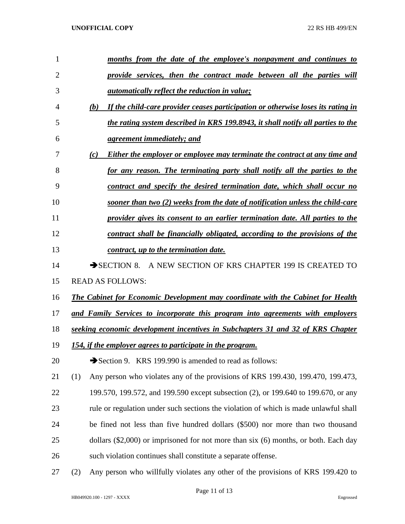| 1              | months from the date of the employee's nonpayment and continues to                      |
|----------------|-----------------------------------------------------------------------------------------|
| $\overline{2}$ | provide services, then the contract made between all the parties will                   |
| 3              | <i><u>automatically reflect the reduction in value;</u></i>                             |
| 4              | If the child-care provider ceases participation or otherwise loses its rating in<br>(b) |
| 5              | the rating system described in KRS 199.8943, it shall notify all parties to the         |
| 6              | <i>agreement immediately; and</i>                                                       |
| 7              | (c)<br>Either the employer or employee may terminate the contract at any time and       |
| 8              | for any reason. The terminating party shall notify all the parties to the               |
| 9              | contract and specify the desired termination date, which shall occur no                 |
| 10             | sooner than two (2) weeks from the date of notification unless the child-care           |
| 11             | provider gives its consent to an earlier termination date. All parties to the           |
| 12             | contract shall be financially obligated, according to the provisions of the             |
| 13             | contract, up to the termination date.                                                   |
| 14             | SECTION 8. A NEW SECTION OF KRS CHAPTER 199 IS CREATED TO                               |
| 15             | <b>READ AS FOLLOWS:</b>                                                                 |
| 16             | The Cabinet for Economic Development may coordinate with the Cabinet for Health         |
| 17             | and Family Services to incorporate this program into agreements with employers          |
| 18             | seeking economic development incentives in Subchapters 31 and 32 of KRS Chapter         |
| 19             | 154, if the employer agrees to participate in the program.                              |
| 20             | Section 9. KRS 199.990 is amended to read as follows:                                   |
| 21             | (1)<br>Any person who violates any of the provisions of KRS 199.430, 199.470, 199.473,  |
| 22             | 199.570, 199.572, and 199.590 except subsection (2), or 199.640 to 199.670, or any      |
| 23             | rule or regulation under such sections the violation of which is made unlawful shall    |
| 24             | be fined not less than five hundred dollars (\$500) nor more than two thousand          |
| 25             | dollars $(\$2,000)$ or imprisoned for not more than six $(6)$ months, or both. Each day |
| 26             | such violation continues shall constitute a separate offense.                           |
|                |                                                                                         |

(2) Any person who willfully violates any other of the provisions of KRS 199.420 to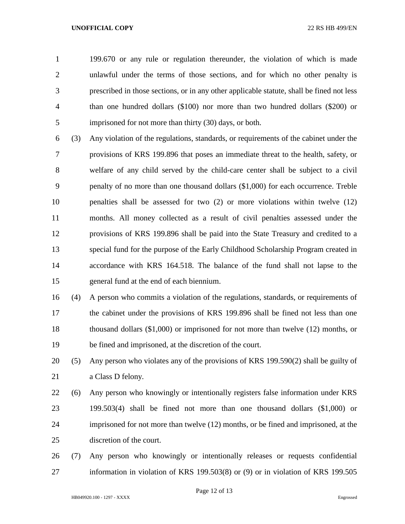199.670 or any rule or regulation thereunder, the violation of which is made unlawful under the terms of those sections, and for which no other penalty is prescribed in those sections, or in any other applicable statute, shall be fined not less than one hundred dollars (\$100) nor more than two hundred dollars (\$200) or imprisoned for not more than thirty (30) days, or both.

 (3) Any violation of the regulations, standards, or requirements of the cabinet under the provisions of KRS 199.896 that poses an immediate threat to the health, safety, or welfare of any child served by the child-care center shall be subject to a civil penalty of no more than one thousand dollars (\$1,000) for each occurrence. Treble penalties shall be assessed for two (2) or more violations within twelve (12) months. All money collected as a result of civil penalties assessed under the provisions of KRS 199.896 shall be paid into the State Treasury and credited to a special fund for the purpose of the Early Childhood Scholarship Program created in accordance with KRS 164.518. The balance of the fund shall not lapse to the general fund at the end of each biennium.

 (4) A person who commits a violation of the regulations, standards, or requirements of the cabinet under the provisions of KRS 199.896 shall be fined not less than one thousand dollars (\$1,000) or imprisoned for not more than twelve (12) months, or be fined and imprisoned, at the discretion of the court.

 (5) Any person who violates any of the provisions of KRS 199.590(2) shall be guilty of a Class D felony.

 (6) Any person who knowingly or intentionally registers false information under KRS 199.503(4) shall be fined not more than one thousand dollars (\$1,000) or imprisoned for not more than twelve (12) months, or be fined and imprisoned, at the discretion of the court.

 (7) Any person who knowingly or intentionally releases or requests confidential information in violation of KRS 199.503(8) or (9) or in violation of KRS 199.505